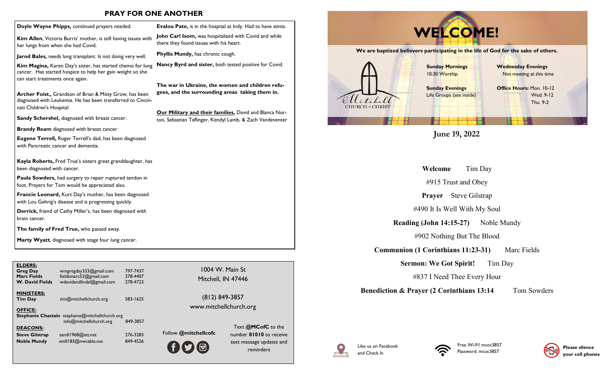### **PRAY FOR ONE ANOTHER**

| Doyle Wayne Phipps, continued prayers needed.                                                                                                                       | <b>Evalou Pate</b>             |
|---------------------------------------------------------------------------------------------------------------------------------------------------------------------|--------------------------------|
| <b>Kim Allen,</b> Victoria Burris' mother, is still having issues with<br>her lungs from when she had Covid.                                                        | John Carl Is<br>there they for |
| Jarod Bales, needs lung transplant. Is not doing very well.                                                                                                         | <b>Phyllis Mung</b>            |
| <b>Kim Magina, Karen Day's sister, has started chemo for lung</b><br>cancer. Has started hospice to help her gain weight so she<br>can start treatments once again. | <b>Nancy Byrd</b>              |
|                                                                                                                                                                     | The war in I                   |
| Archer Foist,, Grandson of Brian & Misty Grow, has been<br>diagnosed with Leukemia. He has been transferred to Cincin-<br>nati Children's Hospital                  | gees, and th                   |
| <b>Sandy Schershel, diagnosed with breast cancer.</b>                                                                                                               | <u>Our Military</u>            |
|                                                                                                                                                                     | ton, Sebastiar                 |
| <b>Brandy Ream</b> diagnosed with breast cancer                                                                                                                     |                                |
| <b>Eugene Terrell, Roger Terrell's dad, has been diagnosed</b><br>with Pancreatic cancer and dementia.                                                              |                                |
| <b>Kayla Roberts, Fred True's sisters great granddaughter, has</b><br>been diagnosed with cancer.                                                                   |                                |
| Paula Sowders, had surgery to repair ruptured tendon in<br>foot. Prayers for Tom would be appreciated also.                                                         |                                |
| Francie Leonard, Kurt Day's mother, has been diagnosed<br>with Lou Gehrig's disease and is progressing quickly.                                                     |                                |
| <b>Derrick,</b> friend of Cathy Miller's, has been diagnosed with<br>brain cancer.                                                                                  |                                |
| The family of Fred True, who passed away.                                                                                                                           |                                |

**Marty Wyatt**, diagnosed with stage four lung cancer.

| <b>ELDERS:</b><br>Greg Day<br>Marc Fields<br><b>W. David Fields</b> | wmgregday333@gmail.com<br>fieldsmarc52@gmail.com<br>wdavidandlindal@gmail.com     | 797-7437<br>278-4407<br>278-4723 | 1004 W. Main St<br>Mitchell, IN 47446    |                    |
|---------------------------------------------------------------------|-----------------------------------------------------------------------------------|----------------------------------|------------------------------------------|--------------------|
| <b>MINISTERS:</b><br><b>Tim Day</b><br><b>OFFICE:</b>               | tim@mitchellchurch.org                                                            | 583-1625                         | (812) 849-3857<br>www.mitchellchurch.org |                    |
| <b>DEACONS:</b>                                                     | <b>Stephanie Chastain</b> stephanie@mitchellchurch.org<br>info@mitchellchurch.org | 849-3857                         |                                          | Text @M            |
| Steve Gilstrap                                                      | sandl1968@att.net                                                                 | 276-3283                         | Follow @mitchellcofc                     | number 810         |
| <b>Noble Mundy</b>                                                  | nm0183@nwcable.net                                                                | 849-4526                         | <u>ම්</u><br><b>HY</b>                   | text messag<br>rem |

**E**, is in the hospital at Indy. Had to have stints. **Jom,** was hospitalized with Covid and while und issues with his heart.

dy, has chronic cough.

and sister, both tested positive for Covid.

Ukraine, the women and children refu**gees** surrounding areas taking them in.

**y and their families,** David and Blanca Nor-I Taflinger, Kendyl Lamb, & Zach Vandeventer

## **We are baptized believers participating in the life of God for the sake of others. Sunday Mornings** 10:30 Worship **Sunday Evenings Wednesday Evenings** Not meeting at this time **Office Hours:** Mon. 10-12 **WELCOME!**

## **June 19, 2022**

Life Groups (see inside)

**Welcome** Tim Day

#915 Trust and Obey

**Prayer** Steve Gilstrap

#490 It Is Well With My Soul

**Reading (John 14:15-27)** Noble Mundy

#902 Nothing But The Blood

**Communion (1 Corinthians 11:23-31)** Marc Fields

**Sermon: We Got Spirit!** Tim Day

#837 I Need Thee Every Hour

**Benediction & Prayer (2 Corinthians 13:14** Tom Sowders

 Wed. 9-12 Thu. 9-2



Text **@MCofC** to the number **81010** to receive text message updates and reminders

**CHURCH of CHRIST**